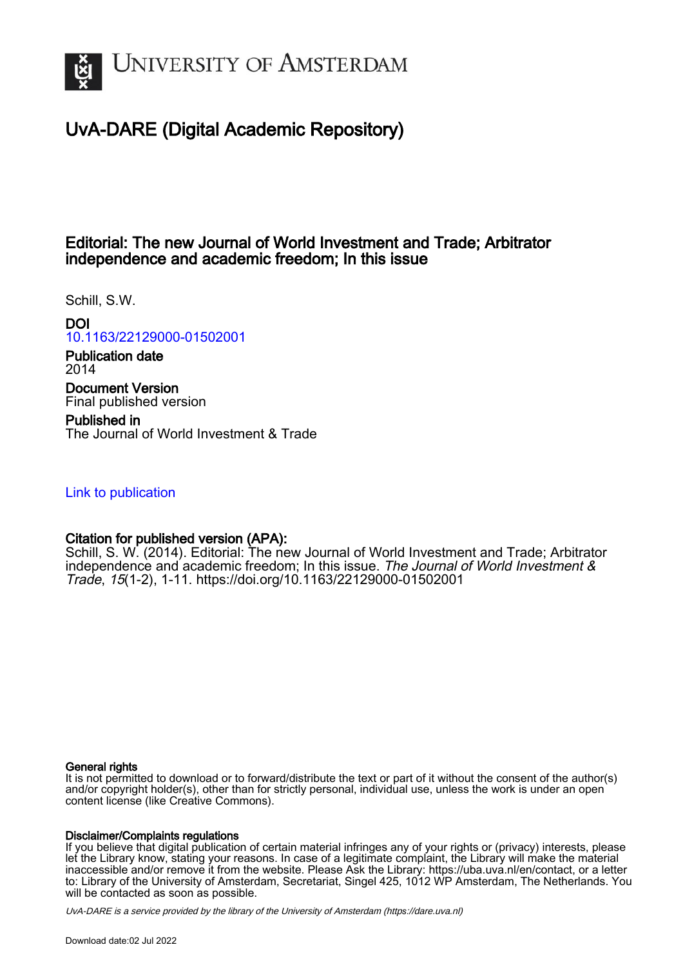

# UvA-DARE (Digital Academic Repository)

## Editorial: The new Journal of World Investment and Trade; Arbitrator independence and academic freedom; In this issue

Schill, S.W.

DOI

[10.1163/22129000-01502001](https://doi.org/10.1163/22129000-01502001)

Publication date 2014

Document Version Final published version

Published in The Journal of World Investment & Trade

[Link to publication](https://dare.uva.nl/personal/pure/en/publications/editorial-the-new-journal-of-world-investment-and-trade-arbitrator-independence-and-academic-freedom-in-this-issue(4806c7f0-908c-45e9-9497-d5889c31b9e8).html)

### Citation for published version (APA):

Schill, S. W. (2014). Editorial: The new Journal of World Investment and Trade; Arbitrator independence and academic freedom; In this issue. The Journal of World Investment & Trade, 15(1-2), 1-11. <https://doi.org/10.1163/22129000-01502001>

#### General rights

It is not permitted to download or to forward/distribute the text or part of it without the consent of the author(s) and/or copyright holder(s), other than for strictly personal, individual use, unless the work is under an open content license (like Creative Commons).

### Disclaimer/Complaints regulations

If you believe that digital publication of certain material infringes any of your rights or (privacy) interests, please let the Library know, stating your reasons. In case of a legitimate complaint, the Library will make the material inaccessible and/or remove it from the website. Please Ask the Library: https://uba.uva.nl/en/contact, or a letter to: Library of the University of Amsterdam, Secretariat, Singel 425, 1012 WP Amsterdam, The Netherlands. You will be contacted as soon as possible.

UvA-DARE is a service provided by the library of the University of Amsterdam (http*s*://dare.uva.nl)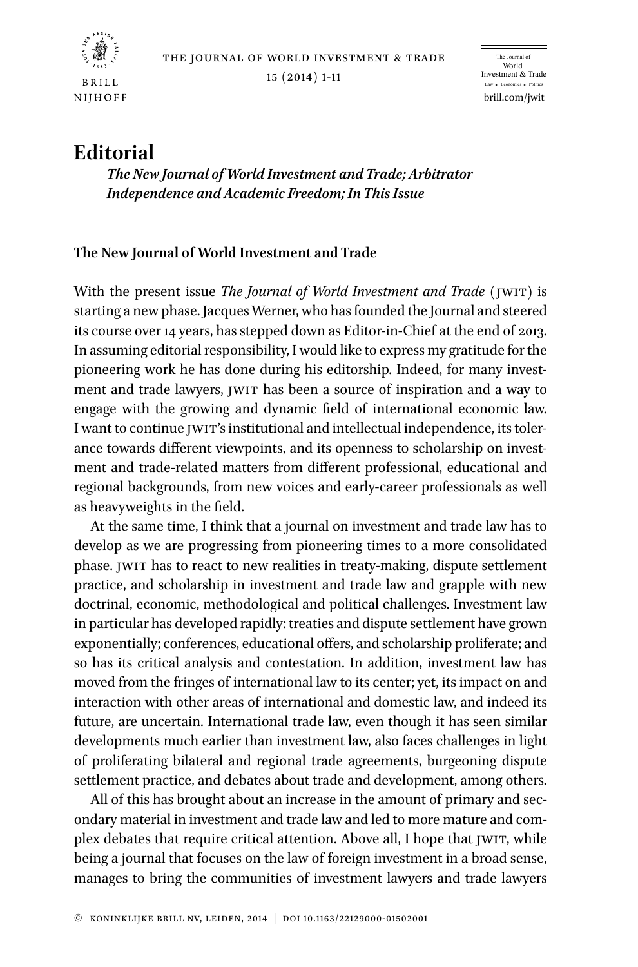the journal of world investment & trade



15 (2014) 1-11

brill.com/jwit The Journal of World Investment & Trade  $mics$   $\rightarrow$  Po

## **Editorial**

*The New Journal of World Investment and Trade; Arbitrator Independence and Academic Freedom; In This Issue*

#### **The New Journal of World Investment and Trade**

With the present issue *The Journal of World Investment and Trade* (JWIT) is starting a new phase. Jacques Werner, who has founded the Journal and steered its course over 14 years, has stepped down as Editor-in-Chief at the end of 2013. In assuming editorial responsibility, I would like to express my gratitude for the pioneering work he has done during his editorship. Indeed, for many investment and trade lawyers, JWIT has been a source of inspiration and a way to engage with the growing and dynamic field of international economic law. I want to continue JWIT's institutional and intellectual independence, its tolerance towards different viewpoints, and its openness to scholarship on investment and trade-related matters from different professional, educational and regional backgrounds, from new voices and early-career professionals as well as heavyweights in the field.

At the same time, I think that a journal on investment and trade law has to develop as we are progressing from pioneering times to a more consolidated phase. JWIT has to react to new realities in treaty-making, dispute settlement practice, and scholarship in investment and trade law and grapple with new doctrinal, economic, methodological and political challenges. Investment law in particular has developed rapidly: treaties and dispute settlement have grown exponentially; conferences, educational offers, and scholarship proliferate; and so has its critical analysis and contestation. In addition, investment law has moved from the fringes of international law to its center; yet, its impact on and interaction with other areas of international and domestic law, and indeed its future, are uncertain. International trade law, even though it has seen similar developments much earlier than investment law, also faces challenges in light of proliferating bilateral and regional trade agreements, burgeoning dispute settlement practice, and debates about trade and development, among others.

All of this has brought about an increase in the amount of primary and secondary material in investment and trade law and led to more mature and complex debates that require critical attention. Above all, I hope that JWIT, while being a journal that focuses on the law of foreign investment in a broad sense, manages to bring the communities of investment lawyers and trade lawyers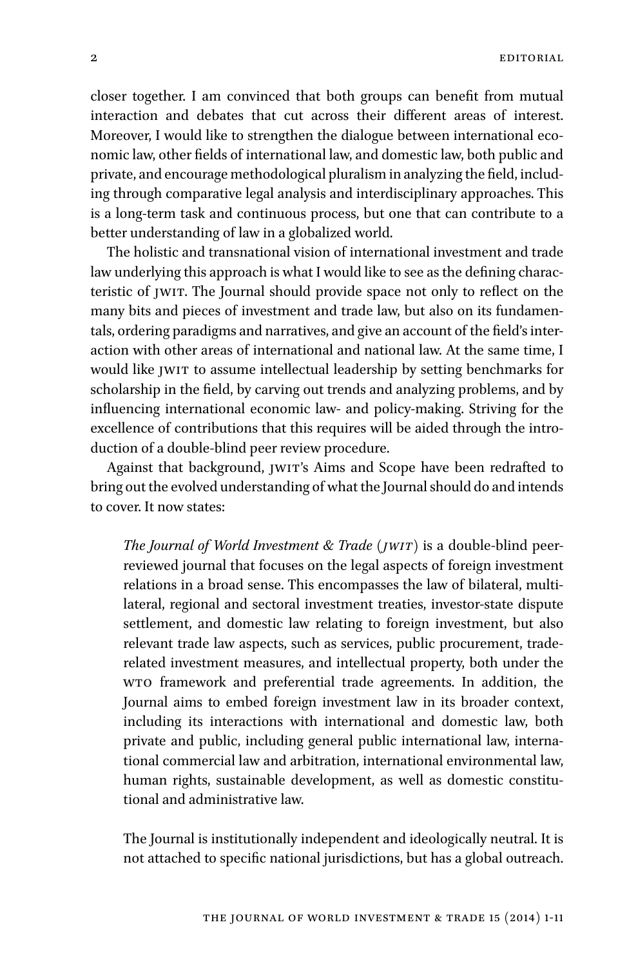closer together. I am convinced that both groups can benefit from mutual interaction and debates that cut across their different areas of interest. Moreover, I would like to strengthen the dialogue between international economic law, other fields of international law, and domestic law, both public and private, and encourage methodological pluralism in analyzing the field, including through comparative legal analysis and interdisciplinary approaches. This is a long-term task and continuous process, but one that can contribute to a better understanding of law in a globalized world.

The holistic and transnational vision of international investment and trade law underlying this approach is what I would like to see as the defining characteristic of JWIT. The Journal should provide space not only to reflect on the many bits and pieces of investment and trade law, but also on its fundamentals, ordering paradigms and narratives, and give an account of the field's interaction with other areas of international and national law. At the same time, I would like JWIT to assume intellectual leadership by setting benchmarks for scholarship in the field, by carving out trends and analyzing problems, and by influencing international economic law- and policy-making. Striving for the excellence of contributions that this requires will be aided through the introduction of a double-blind peer review procedure.

Against that background, JWIT's Aims and Scope have been redrafted to bring out the evolved understanding of what the Journal should do and intends to cover. It now states:

*The Journal of World Investment & Trade (JWIT)* is a double-blind peerreviewed journal that focuses on the legal aspects of foreign investment relations in a broad sense. This encompasses the law of bilateral, multilateral, regional and sectoral investment treaties, investor-state dispute settlement, and domestic law relating to foreign investment, but also relevant trade law aspects, such as services, public procurement, traderelated investment measures, and intellectual property, both under the WTO framework and preferential trade agreements. In addition, the Journal aims to embed foreign investment law in its broader context, including its interactions with international and domestic law, both private and public, including general public international law, international commercial law and arbitration, international environmental law, human rights, sustainable development, as well as domestic constitutional and administrative law.

The Journal is institutionally independent and ideologically neutral. It is not attached to specific national jurisdictions, but has a global outreach.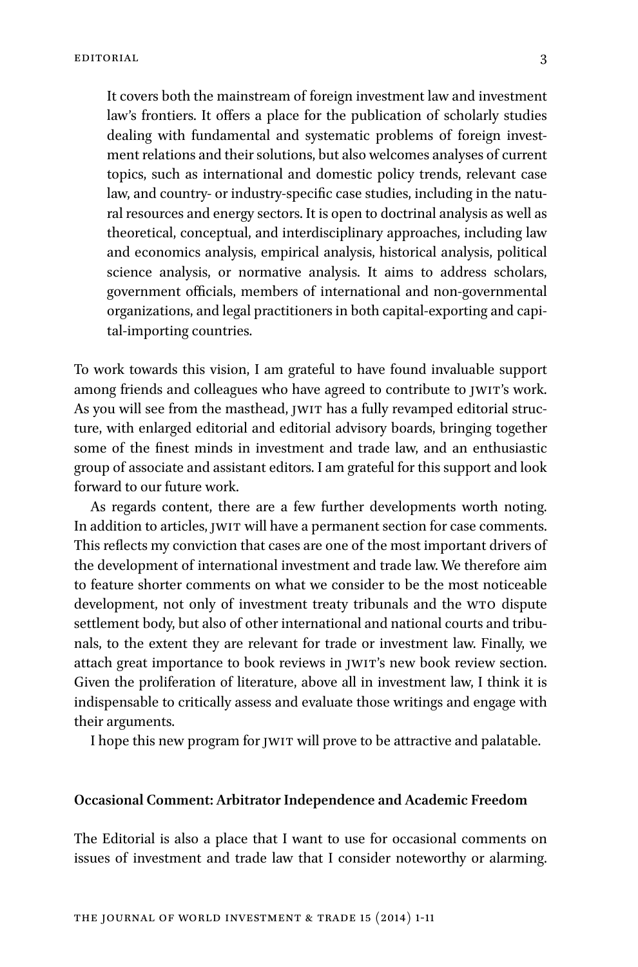It covers both the mainstream of foreign investment law and investment law's frontiers. It offers a place for the publication of scholarly studies dealing with fundamental and systematic problems of foreign investment relations and their solutions, but also welcomes analyses of current topics, such as international and domestic policy trends, relevant case law, and country- or industry-specific case studies, including in the natural resources and energy sectors. It is open to doctrinal analysis as well as theoretical, conceptual, and interdisciplinary approaches, including law and economics analysis, empirical analysis, historical analysis, political science analysis, or normative analysis. It aims to address scholars, government officials, members of international and non-governmental organizations, and legal practitioners in both capital-exporting and capital-importing countries.

To work towards this vision, I am grateful to have found invaluable support among friends and colleagues who have agreed to contribute to JWIT's work. As you will see from the masthead, JWIT has a fully revamped editorial structure, with enlarged editorial and editorial advisory boards, bringing together some of the finest minds in investment and trade law, and an enthusiastic group of associate and assistant editors. I am grateful for this support and look forward to our future work.

As regards content, there are a few further developments worth noting. In addition to articles, JWIT will have a permanent section for case comments. This reflects my conviction that cases are one of the most important drivers of the development of international investment and trade law. We therefore aim to feature shorter comments on what we consider to be the most noticeable development, not only of investment treaty tribunals and the WTO dispute settlement body, but also of other international and national courts and tribunals, to the extent they are relevant for trade or investment law. Finally, we attach great importance to book reviews in JWIT's new book review section. Given the proliferation of literature, above all in investment law, I think it is indispensable to critically assess and evaluate those writings and engage with their arguments.

I hope this new program for JWIT will prove to be attractive and palatable.

#### **Occasional Comment: Arbitrator Independence and Academic Freedom**

The Editorial is also a place that I want to use for occasional comments on issues of investment and trade law that I consider noteworthy or alarming.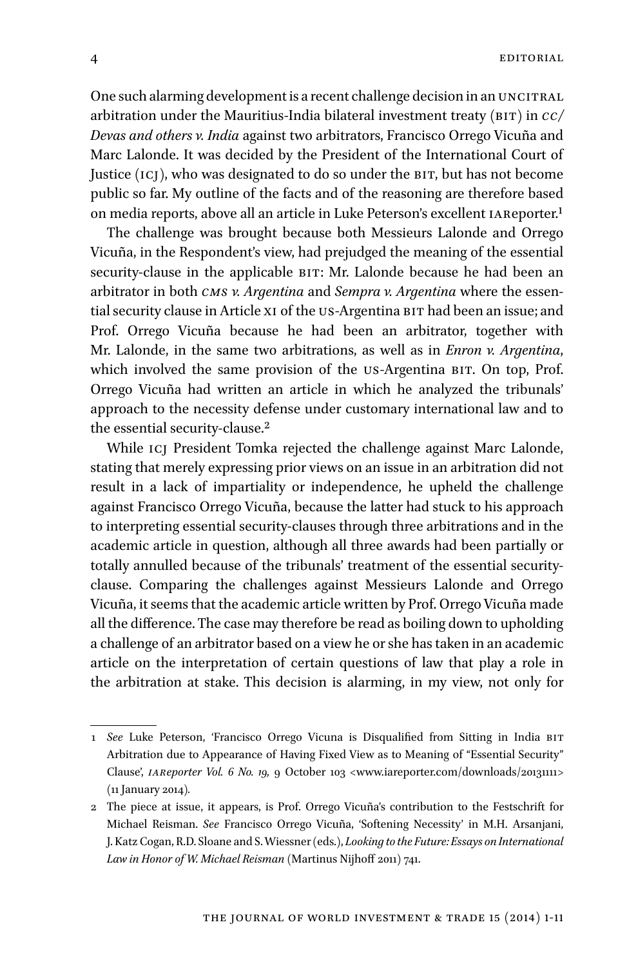One such alarming development is a recent challenge decision in an UNCITRAL arbitration under the Mauritius-India bilateral investment treaty (BIT) in *CC/ Devas and others v. India* against two arbitrators, Francisco Orrego Vicuña and Marc Lalonde. It was decided by the President of the International Court of Justice (ICJ), who was designated to do so under the BIT, but has not become public so far. My outline of the facts and of the reasoning are therefore based on media reports, above all an article in Luke Peterson's excellent IAReporter.1

The challenge was brought because both Messieurs Lalonde and Orrego Vicuña, in the Respondent's view, had prejudged the meaning of the essential security-clause in the applicable BIT: Mr. Lalonde because he had been an arbitrator in both *CMS v. Argentina* and *Sempra v. Argentina* where the essential security clause in Article XI of the US-Argentina BIT had been an issue; and Prof. Orrego Vicuña because he had been an arbitrator, together with Mr. Lalonde, in the same two arbitrations, as well as in *Enron v. Argentina*, which involved the same provision of the US-Argentina BIT. On top, Prof. Orrego Vicuña had written an article in which he analyzed the tribunals' approach to the necessity defense under customary international law and to the essential security-clause.2

While ICJ President Tomka rejected the challenge against Marc Lalonde, stating that merely expressing prior views on an issue in an arbitration did not result in a lack of impartiality or independence, he upheld the challenge against Francisco Orrego Vicuña, because the latter had stuck to his approach to interpreting essential security-clauses through three arbitrations and in the academic article in question, although all three awards had been partially or totally annulled because of the tribunals' treatment of the essential securityclause. Comparing the challenges against Messieurs Lalonde and Orrego Vicuña, it seems that the academic article written by Prof. Orrego Vicuña made all the difference. The case may therefore be read as boiling down to upholding a challenge of an arbitrator based on a view he or she has taken in an academic article on the interpretation of certain questions of law that play a role in the arbitration at stake. This decision is alarming, in my view, not only for

<sup>1</sup> *See* Luke Peterson, 'Francisco Orrego Vicuna is Disqualified from Sitting in India BIT Arbitration due to Appearance of Having Fixed View as to Meaning of "Essential Security" Clause', *IAReporter Vol. 6 No. 19,* 9 October 103 *<*[www.iareporter.com/downloads/20131111](http://www.iareporter.com/downloads/20131111)*> (*11 January 2014*).*

<sup>2</sup> The piece at issue, it appears, is Prof. Orrego Vicuña's contribution to the Festschrift for Michael Reisman. *See* Francisco Orrego Vicuña, 'Softening Necessity' in M.H. Arsanjani, J. Katz Cogan, R.D. Sloane and S. Wiessner (eds.), *Looking to the Future: Essays on International Law in Honor of W. Michael Reisman* (Martinus Nijhoff 2011) 741.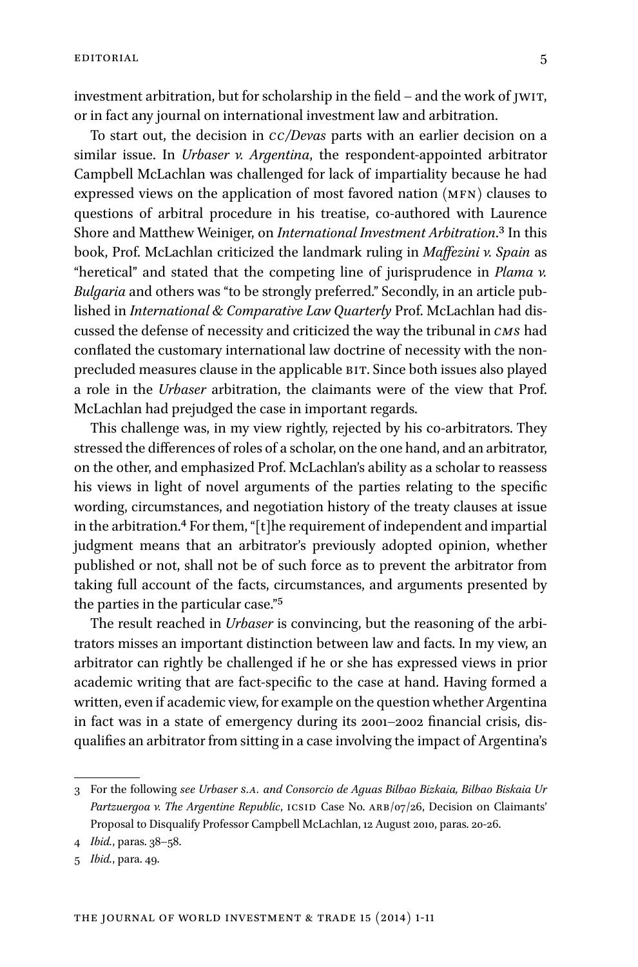investment arbitration, but for scholarship in the field – and the work of JWIT, or in fact any journal on international investment law and arbitration.

To start out, the decision in *CC/Devas* parts with an earlier decision on a similar issue. In *Urbaser v. Argentina*, the respondent-appointed arbitrator Campbell McLachlan was challenged for lack of impartiality because he had expressed views on the application of most favored nation (MFN) clauses to questions of arbitral procedure in his treatise, co-authored with Laurence Shore and Matthew Weiniger, on *International Investment Arbitration*.3 In this book, Prof. McLachlan criticized the landmark ruling in *Maffezini v. Spain* as "heretical" and stated that the competing line of jurisprudence in *Plama v. Bulgaria* and others was "to be strongly preferred." Secondly, in an article published in *International & Comparative Law Quarterly* Prof. McLachlan had discussed the defense of necessity and criticized the way the tribunal in *CMS* had conflated the customary international law doctrine of necessity with the nonprecluded measures clause in the applicable BIT. Since both issues also played a role in the *Urbaser* arbitration, the claimants were of the view that Prof. McLachlan had prejudged the case in important regards.

This challenge was, in my view rightly, rejected by his co-arbitrators. They stressed the differences of roles of a scholar, on the one hand, and an arbitrator, on the other, and emphasized Prof. McLachlan's ability as a scholar to reassess his views in light of novel arguments of the parties relating to the specific wording, circumstances, and negotiation history of the treaty clauses at issue in the arbitration.4 For them, "[t]he requirement of independent and impartial judgment means that an arbitrator's previously adopted opinion, whether published or not, shall not be of such force as to prevent the arbitrator from taking full account of the facts, circumstances, and arguments presented by the parties in the particular case."5

The result reached in *Urbaser* is convincing, but the reasoning of the arbitrators misses an important distinction between law and facts. In my view, an arbitrator can rightly be challenged if he or she has expressed views in prior academic writing that are fact-specific to the case at hand. Having formed a written, even if academic view, for example on the question whether Argentina in fact was in a state of emergency during its 2001–2002 financial crisis, disqualifies an arbitrator from sitting in a case involving the impact of Argentina's

<sup>3</sup> For the following *see Urbaser S.A. and Consorcio de Aguas Bilbao Bizkaia, Bilbao Biskaia Ur Partzuergoa v. The Argentine Republic*, ICSID Case No. ARB/07/26, Decision on Claimants' Proposal to Disqualify Professor Campbell McLachlan, 12 August 2010, paras. 20-26.

<sup>4</sup> *Ibid.*, paras. 38–58.

<sup>5</sup> *Ibid.*, para. 49.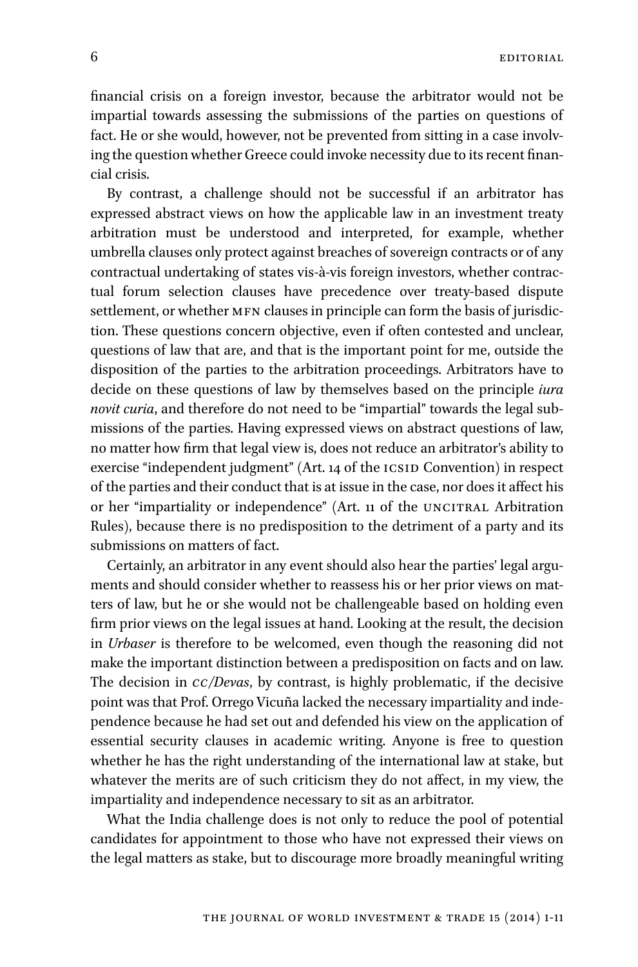financial crisis on a foreign investor, because the arbitrator would not be impartial towards assessing the submissions of the parties on questions of fact. He or she would, however, not be prevented from sitting in a case involving the question whether Greece could invoke necessity due to its recent financial crisis.

By contrast, a challenge should not be successful if an arbitrator has expressed abstract views on how the applicable law in an investment treaty arbitration must be understood and interpreted, for example, whether umbrella clauses only protect against breaches of sovereign contracts or of any contractual undertaking of states vis-à-vis foreign investors, whether contractual forum selection clauses have precedence over treaty-based dispute settlement, or whether MFN clauses in principle can form the basis of jurisdiction. These questions concern objective, even if often contested and unclear, questions of law that are, and that is the important point for me, outside the disposition of the parties to the arbitration proceedings. Arbitrators have to decide on these questions of law by themselves based on the principle *iura novit curia*, and therefore do not need to be "impartial" towards the legal submissions of the parties. Having expressed views on abstract questions of law, no matter how firm that legal view is, does not reduce an arbitrator's ability to exercise "independent judgment" (Art. 14 of the ICSID Convention) in respect of the parties and their conduct that is at issue in the case, nor does it affect his or her "impartiality or independence" (Art. 11 of the UNCITRAL Arbitration Rules), because there is no predisposition to the detriment of a party and its submissions on matters of fact.

Certainly, an arbitrator in any event should also hear the parties' legal arguments and should consider whether to reassess his or her prior views on matters of law, but he or she would not be challengeable based on holding even firm prior views on the legal issues at hand. Looking at the result, the decision in *Urbaser* is therefore to be welcomed, even though the reasoning did not make the important distinction between a predisposition on facts and on law. The decision in *CC/Devas*, by contrast, is highly problematic, if the decisive point was that Prof. Orrego Vicuña lacked the necessary impartiality and independence because he had set out and defended his view on the application of essential security clauses in academic writing. Anyone is free to question whether he has the right understanding of the international law at stake, but whatever the merits are of such criticism they do not affect, in my view, the impartiality and independence necessary to sit as an arbitrator.

What the India challenge does is not only to reduce the pool of potential candidates for appointment to those who have not expressed their views on the legal matters as stake, but to discourage more broadly meaningful writing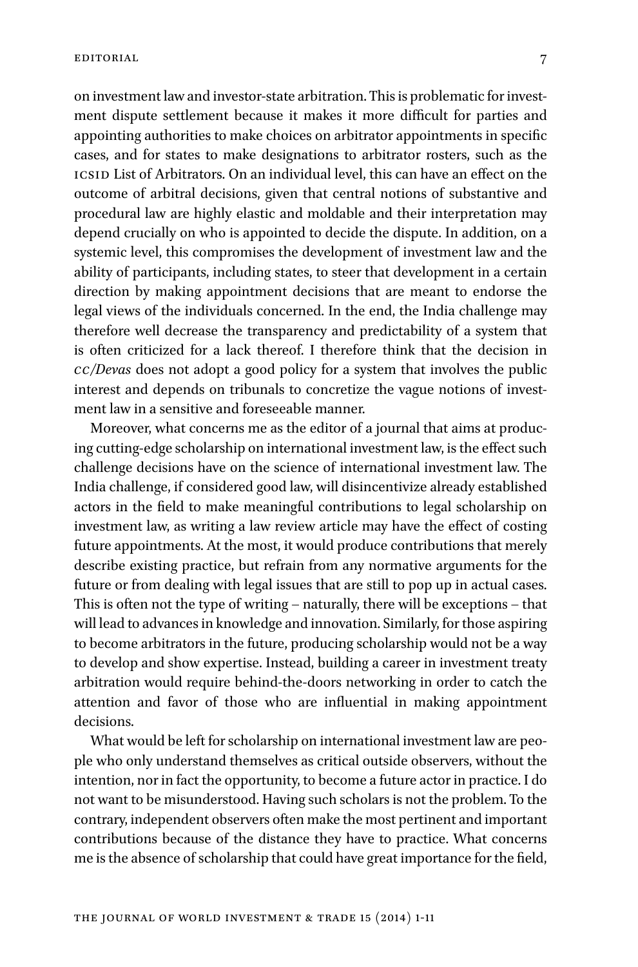on investment law and investor-state arbitration. This is problematic for investment dispute settlement because it makes it more difficult for parties and appointing authorities to make choices on arbitrator appointments in specific cases, and for states to make designations to arbitrator rosters, such as the ICSID List of Arbitrators. On an individual level, this can have an effect on the outcome of arbitral decisions, given that central notions of substantive and procedural law are highly elastic and moldable and their interpretation may depend crucially on who is appointed to decide the dispute. In addition, on a systemic level, this compromises the development of investment law and the ability of participants, including states, to steer that development in a certain direction by making appointment decisions that are meant to endorse the legal views of the individuals concerned. In the end, the India challenge may therefore well decrease the transparency and predictability of a system that is often criticized for a lack thereof. I therefore think that the decision in *CC/Devas* does not adopt a good policy for a system that involves the public interest and depends on tribunals to concretize the vague notions of investment law in a sensitive and foreseeable manner.

Moreover, what concerns me as the editor of a journal that aims at producing cutting-edge scholarship on international investment law, is the effect such challenge decisions have on the science of international investment law. The India challenge, if considered good law, will disincentivize already established actors in the field to make meaningful contributions to legal scholarship on investment law, as writing a law review article may have the effect of costing future appointments. At the most, it would produce contributions that merely describe existing practice, but refrain from any normative arguments for the future or from dealing with legal issues that are still to pop up in actual cases. This is often not the type of writing – naturally, there will be exceptions – that will lead to advances in knowledge and innovation. Similarly, for those aspiring to become arbitrators in the future, producing scholarship would not be a way to develop and show expertise. Instead, building a career in investment treaty arbitration would require behind-the-doors networking in order to catch the attention and favor of those who are influential in making appointment decisions.

What would be left for scholarship on international investment law are people who only understand themselves as critical outside observers, without the intention, nor in fact the opportunity, to become a future actor in practice. I do not want to be misunderstood. Having such scholars is not the problem. To the contrary, independent observers often make the most pertinent and important contributions because of the distance they have to practice. What concerns me is the absence of scholarship that could have great importance for the field,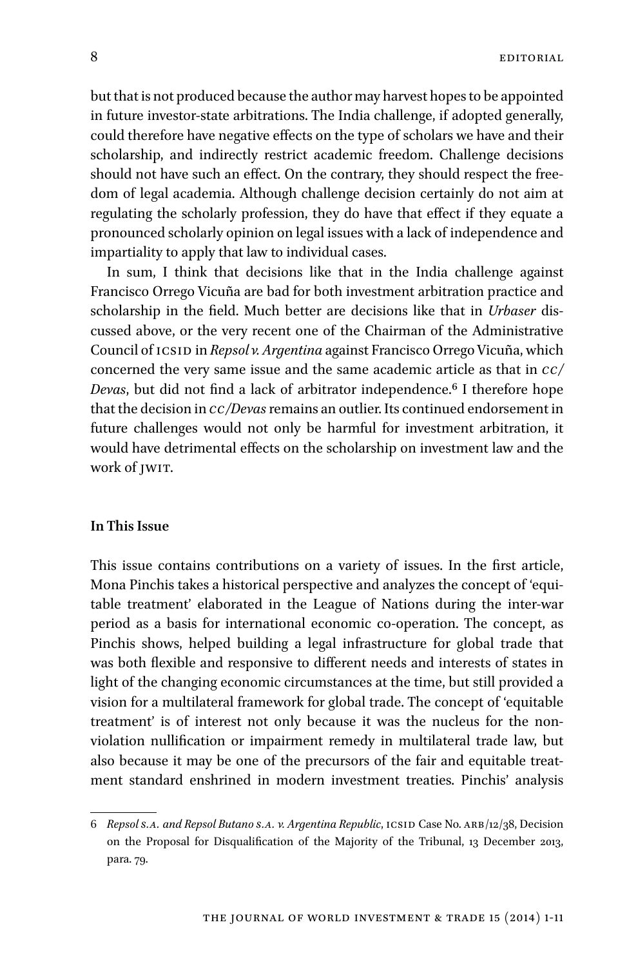but that is not produced because the author may harvest hopes to be appointed in future investor-state arbitrations. The India challenge, if adopted generally, could therefore have negative effects on the type of scholars we have and their scholarship, and indirectly restrict academic freedom. Challenge decisions should not have such an effect. On the contrary, they should respect the freedom of legal academia. Although challenge decision certainly do not aim at regulating the scholarly profession, they do have that effect if they equate a pronounced scholarly opinion on legal issues with a lack of independence and impartiality to apply that law to individual cases.

In sum, I think that decisions like that in the India challenge against Francisco Orrego Vicuña are bad for both investment arbitration practice and scholarship in the field. Much better are decisions like that in *Urbaser* discussed above, or the very recent one of the Chairman of the Administrative Council of ICSID in *Repsol v. Argentina* against Francisco Orrego Vicuña, which concerned the very same issue and the same academic article as that in *CC/ Devas*, but did not find a lack of arbitrator independence.6 I therefore hope that the decision in *CC/Devas* remains an outlier. Its continued endorsement in future challenges would not only be harmful for investment arbitration, it would have detrimental effects on the scholarship on investment law and the work of *JWIT*.

#### **In This Issue**

This issue contains contributions on a variety of issues. In the first article, Mona Pinchis takes a historical perspective and analyzes the concept of 'equitable treatment' elaborated in the League of Nations during the inter-war period as a basis for international economic co-operation. The concept, as Pinchis shows, helped building a legal infrastructure for global trade that was both flexible and responsive to different needs and interests of states in light of the changing economic circumstances at the time, but still provided a vision for a multilateral framework for global trade. The concept of 'equitable treatment' is of interest not only because it was the nucleus for the nonviolation nullification or impairment remedy in multilateral trade law, but also because it may be one of the precursors of the fair and equitable treatment standard enshrined in modern investment treaties. Pinchis' analysis

<sup>6</sup> *Repsol S.A. and Repsol Butano S.A. v. Argentina Republic*, ICSID Case No. ARB/12/38, Decision on the Proposal for Disqualification of the Majority of the Tribunal, 13 December 2013, para. 79.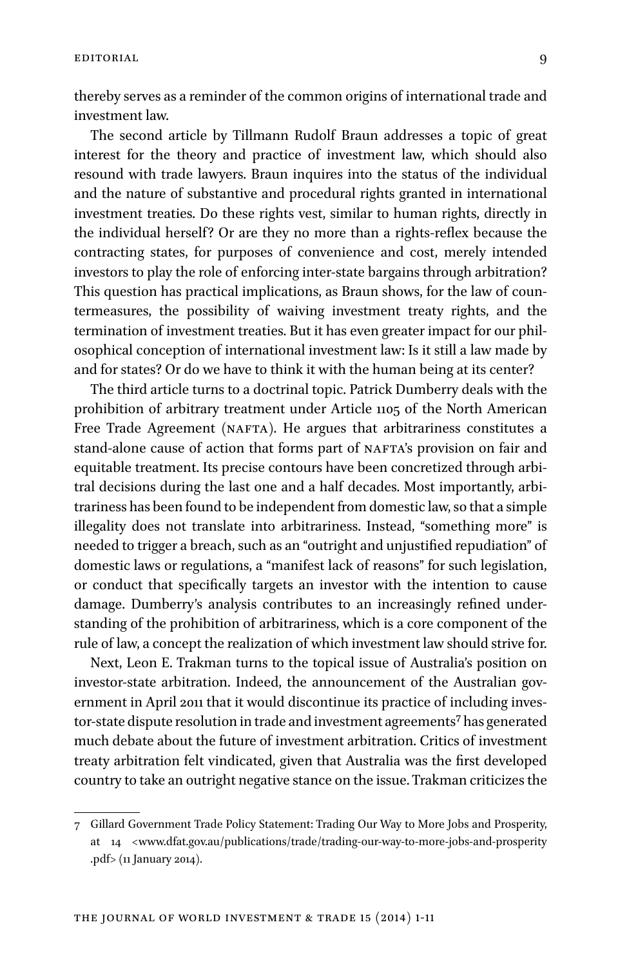thereby serves as a reminder of the common origins of international trade and investment law.

The second article by Tillmann Rudolf Braun addresses a topic of great interest for the theory and practice of investment law, which should also resound with trade lawyers. Braun inquires into the status of the individual and the nature of substantive and procedural rights granted in international investment treaties. Do these rights vest, similar to human rights, directly in the individual herself? Or are they no more than a rights-reflex because the contracting states, for purposes of convenience and cost, merely intended investors to play the role of enforcing inter-state bargains through arbitration? This question has practical implications, as Braun shows, for the law of countermeasures, the possibility of waiving investment treaty rights, and the termination of investment treaties. But it has even greater impact for our philosophical conception of international investment law: Is it still a law made by and for states? Or do we have to think it with the human being at its center?

The third article turns to a doctrinal topic. Patrick Dumberry deals with the prohibition of arbitrary treatment under Article 1105 of the North American Free Trade Agreement (NAFTA). He argues that arbitrariness constitutes a stand-alone cause of action that forms part of NAFTA's provision on fair and equitable treatment. Its precise contours have been concretized through arbitral decisions during the last one and a half decades. Most importantly, arbitrariness has been found to be independent from domestic law, so that a simple illegality does not translate into arbitrariness. Instead, "something more" is needed to trigger a breach, such as an "outright and unjustified repudiation" of domestic laws or regulations, a "manifest lack of reasons" for such legislation, or conduct that specifically targets an investor with the intention to cause damage. Dumberry's analysis contributes to an increasingly refined understanding of the prohibition of arbitrariness, which is a core component of the rule of law, a concept the realization of which investment law should strive for.

Next, Leon E. Trakman turns to the topical issue of Australia's position on investor-state arbitration. Indeed, the announcement of the Australian government in April 2011 that it would discontinue its practice of including investor-state dispute resolution in trade and investment agreements<sup>7</sup> has generated much debate about the future of investment arbitration. Critics of investment treaty arbitration felt vindicated, given that Australia was the first developed country to take an outright negative stance on the issue. Trakman criticizes the

<sup>7</sup> Gillard Government Trade Policy Statement: Trading Our Way to More Jobs and Prosperity, at 14 [<www.dfat.gov.au/publications/trade/trading-our-way-to-more-jobs-and-prosperity](http://www.dfat.gov.au/publications/trade/trading-our-way-to-more-jobs-and-prosperity.pdf) [.pdf>](http://www.dfat.gov.au/publications/trade/trading-our-way-to-more-jobs-and-prosperity.pdf) (11 January 2014).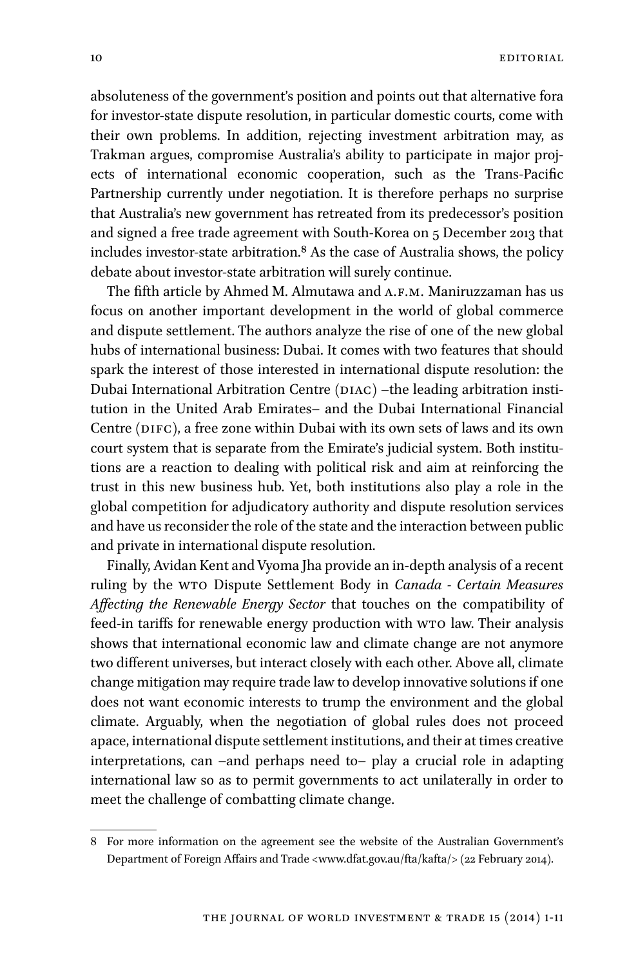absoluteness of the government's position and points out that alternative fora for investor-state dispute resolution, in particular domestic courts, come with their own problems. In addition, rejecting investment arbitration may, as Trakman argues, compromise Australia's ability to participate in major projects of international economic cooperation, such as the Trans-Pacific Partnership currently under negotiation. It is therefore perhaps no surprise that Australia's new government has retreated from its predecessor's position and signed a free trade agreement with South-Korea on 5 December 2013 that includes investor-state arbitration.8 As the case of Australia shows, the policy debate about investor-state arbitration will surely continue.

The fifth article by Ahmed M. Almutawa and A.F.M. Maniruzzaman has us focus on another important development in the world of global commerce and dispute settlement. The authors analyze the rise of one of the new global hubs of international business: Dubai. It comes with two features that should spark the interest of those interested in international dispute resolution: the Dubai International Arbitration Centre (DIAC) –the leading arbitration institution in the United Arab Emirates– and the Dubai International Financial Centre (DIFC), a free zone within Dubai with its own sets of laws and its own court system that is separate from the Emirate's judicial system. Both institutions are a reaction to dealing with political risk and aim at reinforcing the trust in this new business hub. Yet, both institutions also play a role in the global competition for adjudicatory authority and dispute resolution services and have us reconsider the role of the state and the interaction between public and private in international dispute resolution.

Finally, Avidan Kent and Vyoma Jha provide an in-depth analysis of a recent ruling by the WTO Dispute Settlement Body in *Canada - Certain Measures Affecting the Renewable Energy Sector* that touches on the compatibility of feed-in tariffs for renewable energy production with WTO law. Their analysis shows that international economic law and climate change are not anymore two different universes, but interact closely with each other. Above all, climate change mitigation may require trade law to develop innovative solutions if one does not want economic interests to trump the environment and the global climate. Arguably, when the negotiation of global rules does not proceed apace, international dispute settlement institutions, and their at times creative interpretations, can –and perhaps need to– play a crucial role in adapting international law so as to permit governments to act unilaterally in order to meet the challenge of combatting climate change.

<sup>8</sup> For more information on the agreement see the website of the Australian Government's Department of Foreign Affairs and Trade <[www.dfat.gov.au/fta/kafta/>](http://www.dfat.gov.au/fta/kafta/) (22 February 2014).